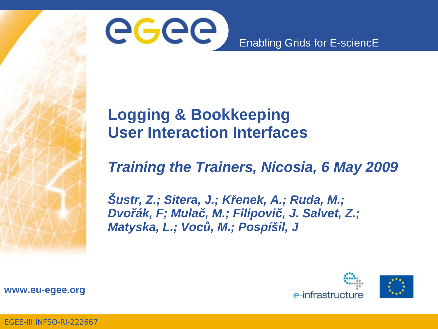

#### **Logging & Bookkeeping User Interaction Interfaces**

#### *Training the Trainers, Nicosia, 6 May 2009*

*Šustr, Z.; Sitera, J.; Křenek, A.; Ruda, M.; Dvořák, F; Mulač, M.; Filipovič, J. Salvet, Z.; Matyska, L.; Voců, M.; Pospíšil, J*



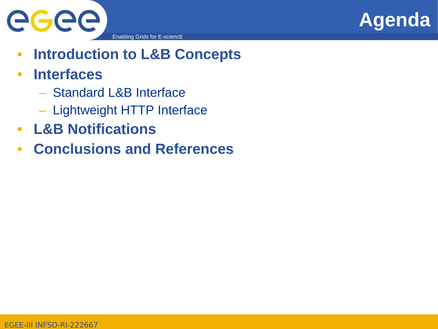



- **Introduction to L&B Concepts**
- **Interfaces**
	- Standard L&B Interface
	- Lightweight HTTP Interface
- **L&B Notifications**
- **Conclusions and References**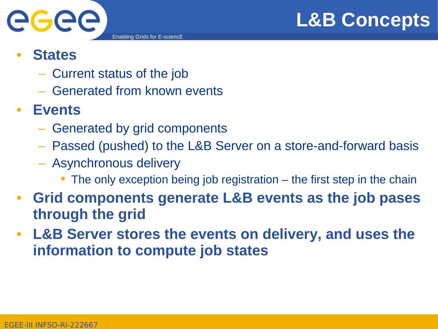



- **States**
	- Current status of the job
	- Generated from known events

#### • **Events**

- Generated by grid components
- Passed (pushed) to the L&B Server on a store-and-forward basis
- Asynchronous delivery
	- The only exception being job registration the first step in the chain
- **Grid components generate L&B events as the job pases through the grid**
- **L&B Server stores the events on delivery, and uses the information to compute job states**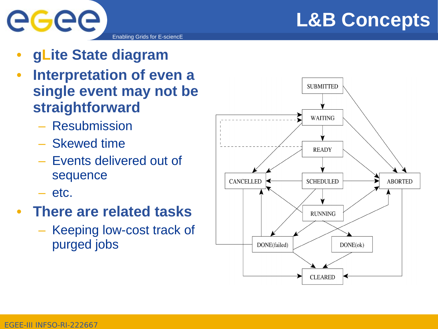

- **gLite State diagram**
- **Interpretation of even a single event may not be straightforward**
	- Resubmission
	- Skewed time
	- Events delivered out of sequence
	- etc.

eeee

- **There are related tasks**
	- Keeping low-cost track of purged jobs

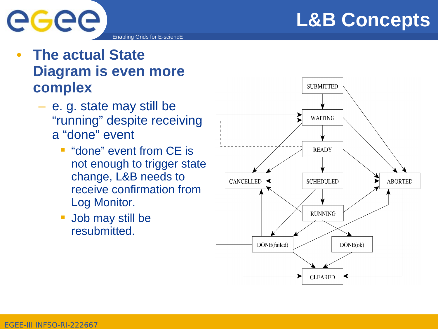

#### • **The actual State Diagram is even more complex**

eeee

- e. g. state may still be "running" despite receiving a "done" event
	- **"done" event from CE is** not enough to trigger state change, L&B needs to receive confirmation from Log Monitor.
	- Job may still be resubmitted.

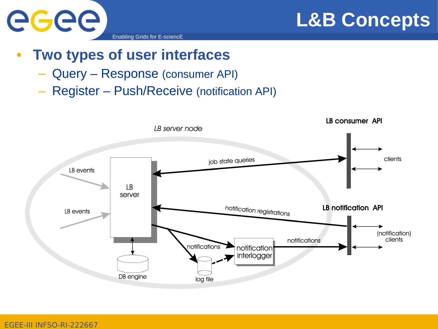



#### • **Two types of user interfaces**

- Query Response (consumer API)
- Register Push/Receive (notification API)

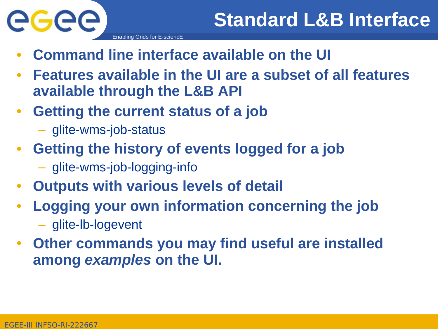

- Enabling Grids for E-sciencE
- **Command line interface available on the UI**
- **Features available in the UI are a subset of all features available through the L&B API**
- **Getting the current status of a job**
	- glite-wms-job-status
- **Getting the history of events logged for a job**
	- glite-wms-job-logging-info
- **Outputs with various levels of detail**
- **Logging your own information concerning the job** – glite-lb-logevent
- **Other commands you may find useful are installed among** *examples* **on the UI.**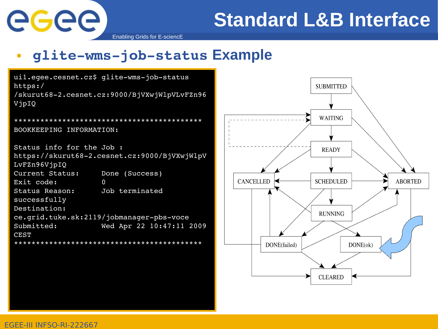

## **Standard L&B Interface**

Enabling Grids for E-sciencE

#### • **glitewmsjobstatus Example**

uil.egee.cesnet.cz\$ glite-wms-job-status https:/ /skurut682.cesnet.cz:9000/BjVXwjWlpVLvFZn96 VjpIQ \*\*\*\*\*\*\*\*\*\*\*\*\*\*\*\*\*\*\*\*\*\*\*\*\*\*\*\*\*\*\*\*\*\*\*\*\*\*\*\*\*\*\* BOOKKEEPING INFORMATION: Status info for the Job : https://skurut68-2.cesnet.cz:9000/BjVXwjWlpV LvFZn96VjpIQ Current Status: Done (Success) Exit code: 0 Status Reason: Job terminated successfully Destination: ce.grid.tuke.sk:2119/jobmanager-pbs-voce Submitted: Wed Apr 22 10:47:11 2009 CEST \*\*\*\*\*\*\*\*\*\*\*\*\*\*\*\*\*\*\*\*\*\*\*\*\*\*\*\*\*\*\*\*\*\*\*\*\*\*\*\*\*\*\*

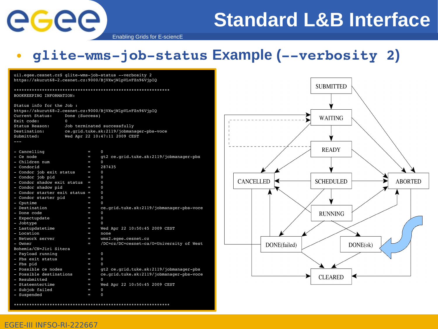eeee

## **Standard L&B Interface**

**ABORTED** 

Enabling Grids for E-sciencE

#### • glite-wms-job-status Example (--verbosity 2)

|                                                          | uil.eqee.cesnet.cz\$ qlite-wms-job-status --verbosity 2  |                                      |
|----------------------------------------------------------|----------------------------------------------------------|--------------------------------------|
| https://skurut68-2.cesnet.cz:9000/BjVXwjWlpVLvFZn96VjpIQ |                                                          |                                      |
|                                                          |                                                          | <b>SUBMITTED</b>                     |
| BOOKKEEPING INFORMATION:                                 |                                                          |                                      |
| Status info for the Job :                                |                                                          |                                      |
|                                                          | https://skurut68-2.cesnet.cz:9000/BjVXwjWlpVLvFZn96VjpIQ |                                      |
| Current Status:                                          | Done (Success)                                           |                                      |
| Exit code:                                               | $\Omega$                                                 | <b>WAITING</b>                       |
| Status Reason:                                           | Job terminated successfully                              |                                      |
| Destination:                                             | ce.grid.tuke.sk:2119/jobmanager-pbs-voce                 |                                      |
| Submitted:                                               | Wed Apr 22 10:47:11 2009 CEST                            |                                      |
| سند                                                      |                                                          |                                      |
|                                                          |                                                          |                                      |
| - Cancelling                                             | $\mathbf 0$<br>i.                                        | <b>READY</b>                         |
| - Ce node                                                | gt2 ce.grid.tuke.sk:2119/jobmanager-pbs<br>$\equiv$      |                                      |
| - Children num                                           | $\Omega$<br>e                                            |                                      |
| - Condorid                                               | 287435<br>i.                                             |                                      |
| - Condor job exit status                                 | $\Omega$<br>i.                                           |                                      |
| - Condor job pid                                         | $\Omega$<br>U                                            |                                      |
| - Condor shadow exit status =                            | $\mathbf 0$                                              | <b>CANCELLED</b><br><b>SCHEDULED</b> |
| - Condor shadow pid                                      | $\Omega$<br>i.                                           |                                      |
| - Condor starter exit status =                           | $\Omega$                                                 |                                      |
| - Condor starter pid                                     | $\Omega$<br>U                                            |                                      |
| - Cputime                                                | $\Omega$<br>Ξ.                                           |                                      |
| - Destination                                            | ce.qrid.tuke.sk:2119/jobmanager-pbs-voce<br>I.           |                                      |
| - Done code                                              | $\mathbf{0}$<br>E.                                       | <b>RUNNING</b>                       |
| - Expectupdate                                           | $\mathbf{0}$<br>i.                                       |                                      |
| - Jobtype                                                | $\Omega$<br>U                                            |                                      |
| - Lastupdatetime                                         | Wed Apr 22 10:50:45 2009 CEST<br>i.                      |                                      |
| - Location                                               | Ξ.<br>none                                               |                                      |
| - Network server                                         | wms2.eqee.cesnet.cz<br>U                                 |                                      |
| - Owner                                                  | /DC=cz/DC=cesnet-ca/0=University of West<br>-            | DONE(failed)<br>DONE(ok)             |
| Bohemia/CN=Jiri Sitera                                   |                                                          |                                      |
| - Payload running                                        | $\mathbf{0}$<br>i.                                       |                                      |
| - Pbs exit status                                        | $\mathbf{0}$<br>E.                                       |                                      |
| - Pbs pid                                                | $\Omega$<br>$\equiv$                                     |                                      |
| - Possible ce nodes                                      | gt2 ce.grid.tuke.sk:2119/jobmanager-pbs<br>$\equiv$      |                                      |
| - Possible destinations                                  | ce.grid.tuke.sk:2119/jobmanager-pbs-voce<br>i.           | <b>CLEARED</b>                       |
| - Resubmitted                                            | $\equiv$<br>$\Omega$                                     |                                      |
| - Stateentertime                                         | Wed Apr 22 10:50:45 2009 CEST<br>i.                      |                                      |
| - Subjob failed                                          | $\mathbf 0$<br>U                                         |                                      |
| - Suspended                                              | $\mathbf 0$<br>U                                         |                                      |

\*\*\*\*\*\*\*\*\*\*\*\*\*\*\*\*\*\*\*\*\*\*\*\*\*\*\*\*\*\*\*\*\*\*\*\*\*\*\*\*\*\*\*\*\*\*\*\*\*\*\*\*\*\*\*\*\*\*\*\*\*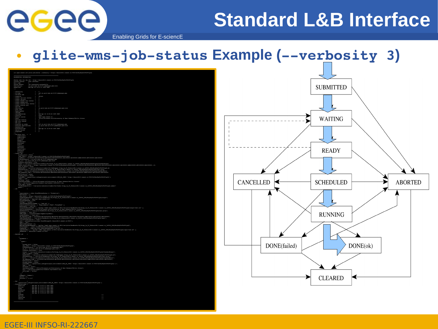eeee

## **Standard L&B Interface**

Enabling Grids for E-sciencE

#### • glite-wms-job-status Example (--verbosity 3)

|                                                                                                                                                                                                                                                       | uil.egee.commet.czj glite-job-status --verbosity 3 https://skurut48-2.cemmet.cz:9000/mjvzujelpyzuvzza40/jpzg                                                                                                                                                                                                                                                                                                                                                                                                                                                                                                |
|-------------------------------------------------------------------------------------------------------------------------------------------------------------------------------------------------------------------------------------------------------|-------------------------------------------------------------------------------------------------------------------------------------------------------------------------------------------------------------------------------------------------------------------------------------------------------------------------------------------------------------------------------------------------------------------------------------------------------------------------------------------------------------------------------------------------------------------------------------------------------------|
|                                                                                                                                                                                                                                                       |                                                                                                                                                                                                                                                                                                                                                                                                                                                                                                                                                                                                             |
|                                                                                                                                                                                                                                                       |                                                                                                                                                                                                                                                                                                                                                                                                                                                                                                                                                                                                             |
|                                                                                                                                                                                                                                                       | stares info for the https://akurutik-2.commet.cz:9000/8/970cj92prusrzsi07jp20<br>Current States<br>Exit code<br>Batt code = 2000 (modeles)<br>States Passeo: 300 terminated exconerfully<br>Patentineis = 2100 (modeles)<br>Patentineis = 2100                                                                                                                                                                                                                                                                                                                                                              |
|                                                                                                                                                                                                                                                       |                                                                                                                                                                                                                                                                                                                                                                                                                                                                                                                                                                                                             |
|                                                                                                                                                                                                                                                       |                                                                                                                                                                                                                                                                                                                                                                                                                                                                                                                                                                                                             |
| - Cancelling<br>- Ch acode<br>- Children num<br>- Children num<br>- Children num<br>- Chondor job exit atatus<br>- Chondor atadow pid<br>- Chondor atatus<br>- Chondor atatus<br>- Chondor atatus<br>- Chondor atatus<br>- Chondor atatus<br>- Chondo | ÷.<br>$q\mathbf{t}2$ ce.grid.tnke.sk:2119/johnanager-phe                                                                                                                                                                                                                                                                                                                                                                                                                                                                                                                                                    |
|                                                                                                                                                                                                                                                       | 287425                                                                                                                                                                                                                                                                                                                                                                                                                                                                                                                                                                                                      |
|                                                                                                                                                                                                                                                       |                                                                                                                                                                                                                                                                                                                                                                                                                                                                                                                                                                                                             |
|                                                                                                                                                                                                                                                       |                                                                                                                                                                                                                                                                                                                                                                                                                                                                                                                                                                                                             |
| - Condor starter<br>- Cystine<br>- Destination<br>- Dome Code<br>- Royectupdate<br>- Royectupdate<br>- Royectupdate - Royectupdate<br>- Royectupdate - Royectup                                                                                       | 0<br>oe.grid.tuke.ek:2119/jobmasager=pbs=voce                                                                                                                                                                                                                                                                                                                                                                                                                                                                                                                                                               |
|                                                                                                                                                                                                                                                       | Ned Apr 22 10:50:45 2009 CEST<br>note                                                                                                                                                                                                                                                                                                                                                                                                                                                                                                                                                                       |
|                                                                                                                                                                                                                                                       |                                                                                                                                                                                                                                                                                                                                                                                                                                                                                                                                                                                                             |
|                                                                                                                                                                                                                                                       | ÷                                                                                                                                                                                                                                                                                                                                                                                                                                                                                                                                                                                                           |
| - Location<br>- Motwork server<br>- Cumer<br>- Paylond running<br>- Phe exit status<br>- Phe pid<br>- Possible de nodes<br>- Possible de nodes<br>- Possible destinations<br>- Pherible destinations                                                  | = qt2 co.qrid.tuko.ak:2119/jobmanager-phs<br>= co.qrid.tuko.ak:2119/jobmanager-phs-voce                                                                                                                                                                                                                                                                                                                                                                                                                                                                                                                     |
|                                                                                                                                                                                                                                                       | ÷<br>0<br>Ned Apr 22 10:50:45 2009 CEST<br>^                                                                                                                                                                                                                                                                                                                                                                                                                                                                                                                                                                |
| - Fossibalted<br>- Roszkaitted<br>- Rubjob failed<br>- Ruspended<br>- Ruspended                                                                                                                                                                       |                                                                                                                                                                                                                                                                                                                                                                                                                                                                                                                                                                                                             |
|                                                                                                                                                                                                                                                       |                                                                                                                                                                                                                                                                                                                                                                                                                                                                                                                                                                                                             |
|                                                                                                                                                                                                                                                       |                                                                                                                                                                                                                                                                                                                                                                                                                                                                                                                                                                                                             |
|                                                                                                                                                                                                                                                       |                                                                                                                                                                                                                                                                                                                                                                                                                                                                                                                                                                                                             |
|                                                                                                                                                                                                                                                       |                                                                                                                                                                                                                                                                                                                                                                                                                                                                                                                                                                                                             |
| Abortedro<br>Canoelledro<br>Tnknownro<br>Purgedro<br>Mor jdl                                                                                                                                                                                          |                                                                                                                                                                                                                                                                                                                                                                                                                                                                                                                                                                                                             |
|                                                                                                                                                                                                                                                       | ٠                                                                                                                                                                                                                                                                                                                                                                                                                                                                                                                                                                                                           |
|                                                                                                                                                                                                                                                       | $\begin{smallmatrix} \mathbf{0.125} \end{smallmatrix} \begin{smallmatrix} \mathbf{0.134} \end{smallmatrix} \begin{smallmatrix} \mathbf{0.144} \end{smallmatrix} \begin{smallmatrix} \mathbf{0.144} \end{smallmatrix} \begin{smallmatrix} \mathbf{0.144} \end{smallmatrix} \begin{smallmatrix} \mathbf{0.144} \end{smallmatrix} \begin{smallmatrix} \mathbf{0.144} \end{smallmatrix} \begin{smallmatrix} \mathbf{0.144} \end{smallmatrix} \begin{smallmatrix} \mathbf{0.144} \end{smallmatrix} \begin{smallmatrix} \mathbf{0.144} \end{smallmatrix}$                                                         |
|                                                                                                                                                                                                                                                       |                                                                                                                                                                                                                                                                                                                                                                                                                                                                                                                                                                                                             |
|                                                                                                                                                                                                                                                       |                                                                                                                                                                                                                                                                                                                                                                                                                                                                                                                                                                                                             |
|                                                                                                                                                                                                                                                       |                                                                                                                                                                                                                                                                                                                                                                                                                                                                                                                                                                                                             |
|                                                                                                                                                                                                                                                       |                                                                                                                                                                                                                                                                                                                                                                                                                                                                                                                                                                                                             |
|                                                                                                                                                                                                                                                       |                                                                                                                                                                                                                                                                                                                                                                                                                                                                                                                                                                                                             |
|                                                                                                                                                                                                                                                       |                                                                                                                                                                                                                                                                                                                                                                                                                                                                                                                                                                                                             |
|                                                                                                                                                                                                                                                       |                                                                                                                                                                                                                                                                                                                                                                                                                                                                                                                                                                                                             |
|                                                                                                                                                                                                                                                       |                                                                                                                                                                                                                                                                                                                                                                                                                                                                                                                                                                                                             |
| $-343$                                                                                                                                                                                                                                                |                                                                                                                                                                                                                                                                                                                                                                                                                                                                                                                                                                                                             |
|                                                                                                                                                                                                                                                       |                                                                                                                                                                                                                                                                                                                                                                                                                                                                                                                                                                                                             |
|                                                                                                                                                                                                                                                       |                                                                                                                                                                                                                                                                                                                                                                                                                                                                                                                                                                                                             |
|                                                                                                                                                                                                                                                       | $\begin{array}{l} \begin{smallmatrix} \text{in} \\ \text{in} \end{smallmatrix} \begin{smallmatrix} \text{in} \\ \text{in} \end{smallmatrix} \begin{smallmatrix} \text{in} \\ \text{in} \end{smallmatrix} \begin{smallmatrix} \text{in} \\ \text{in} \end{smallmatrix} \begin{smallmatrix} \text{in} \\ \text{in} \end{smallmatrix} \begin{smallmatrix} \text{in} \\ \text{in} \end{smallmatrix} \begin{smallmatrix} \text{in} \\ \text{in} \end{smallmatrix} \begin{smallmatrix} \text{in} \\ \text{in} \end{smallmatrix} \begin{smallmatrix} \text{in} \\ \text{in} \end{smallmatrix} \begin{smallmatrix}$ |
|                                                                                                                                                                                                                                                       | $\begin{minipage}[t]{0.03\textwidth} \begin{minipage}[t]{0.03\textwidth} \begin{minipage}[t]{0.03\textwidth} \begin{minipage}[t]{0.03\textwidth} \begin{minipage}[t]{0.03\textwidth} \begin{minipage}[t]{0.03\textwidth} \begin{minipage}[t]{0.03\textwidth} \begin{minipage}[t]{0.03\textwidth} \begin{minipage}[t]{0.03\textwidth} \begin{minipage}[t]{0.03\textwidth} \begin{minipage}[t]{0.03\textwidth} \begin{minipage}[t]{0.03\textwidth} \begin{minipage}[t]{0.03\textwidth$                                                                                                                        |
|                                                                                                                                                                                                                                                       |                                                                                                                                                                                                                                                                                                                                                                                                                                                                                                                                                                                                             |
|                                                                                                                                                                                                                                                       |                                                                                                                                                                                                                                                                                                                                                                                                                                                                                                                                                                                                             |
|                                                                                                                                                                                                                                                       |                                                                                                                                                                                                                                                                                                                                                                                                                                                                                                                                                                                                             |
|                                                                                                                                                                                                                                                       |                                                                                                                                                                                                                                                                                                                                                                                                                                                                                                                                                                                                             |
|                                                                                                                                                                                                                                                       |                                                                                                                                                                                                                                                                                                                                                                                                                                                                                                                                                                                                             |
|                                                                                                                                                                                                                                                       | (такиманный «Тема»)<br>1990 — 1992<br>1990 — 1992 — 1992<br>1990 — 1992 — 1992<br>1990 — 1992 — 1992 (такиманный акциональный старых половинствую при 11 Интернет-манала 1998 (путуцательну раз<br>1991 — 1992 — 1992 (такиманный акциональ                                                                                                                                                                                                                                                                                                                                                                 |
|                                                                                                                                                                                                                                                       |                                                                                                                                                                                                                                                                                                                                                                                                                                                                                                                                                                                                             |
| 4 541<br>٠                                                                                                                                                                                                                                            |                                                                                                                                                                                                                                                                                                                                                                                                                                                                                                                                                                                                             |
|                                                                                                                                                                                                                                                       |                                                                                                                                                                                                                                                                                                                                                                                                                                                                                                                                                                                                             |
| Arguments =<br>$366M4 =$                                                                                                                                                                                                                              |                                                                                                                                                                                                                                                                                                                                                                                                                                                                                                                                                                                                             |
|                                                                                                                                                                                                                                                       |                                                                                                                                                                                                                                                                                                                                                                                                                                                                                                                                                                                                             |
|                                                                                                                                                                                                                                                       |                                                                                                                                                                                                                                                                                                                                                                                                                                                                                                                                                                                                             |
|                                                                                                                                                                                                                                                       |                                                                                                                                                                                                                                                                                                                                                                                                                                                                                                                                                                                                             |
|                                                                                                                                                                                                                                                       |                                                                                                                                                                                                                                                                                                                                                                                                                                                                                                                                                                                                             |
|                                                                                                                                                                                                                                                       |                                                                                                                                                                                                                                                                                                                                                                                                                                                                                                                                                                                                             |
|                                                                                                                                                                                                                                                       |                                                                                                                                                                                                                                                                                                                                                                                                                                                                                                                                                                                                             |
|                                                                                                                                                                                                                                                       | $\begin{smallmatrix} 0.011 & 0.000 & 0.000 & 0.000 & 0.000 & 0.000 & 0.000 & 0.000 & 0.000 & 0.000 & 0.000 & 0.000 & 0.000 & 0.000 & 0.000 & 0.000 & 0.000 & 0.000 & 0.000 & 0.000 & 0.000 & 0.000 & 0.000 & 0.000 & 0.000 & 0.000 & 0.000 & 0.000 & 0.000 & 0.000 & 0.0$                                                                                                                                                                                                                                                                                                                                   |
|                                                                                                                                                                                                                                                       |                                                                                                                                                                                                                                                                                                                                                                                                                                                                                                                                                                                                             |
|                                                                                                                                                                                                                                                       |                                                                                                                                                                                                                                                                                                                                                                                                                                                                                                                                                                                                             |
| mand - "Submit":<br>201200 = 2)<br>Protocol = "1.0.0"                                                                                                                                                                                                 |                                                                                                                                                                                                                                                                                                                                                                                                                                                                                                                                                                                                             |
| ×                                                                                                                                                                                                                                                     |                                                                                                                                                                                                                                                                                                                                                                                                                                                                                                                                                                                                             |
| {quese=voce}{jobtype<br>:eentertime =<br>submitted ; w<br>Waiting ; w                                                                                                                                                                                 | esingle) (environment={2D0_ML_JCRID 'https://akurut48-2.cesnet.cz:9003/RjVEwjMlpVLvF2n94VjpJD'))                                                                                                                                                                                                                                                                                                                                                                                                                                                                                                            |
|                                                                                                                                                                                                                                                       | wed Apr 22 10:47:11 2009 cmir<br>- Wed Apr 22 10:47:12 2009 cmir<br>- Wed Apr 22 10:47:12 2009 cmir<br>- Wed Apr 22 10:47:11 2009 cmir<br>- Wed Apr 22 10:67:11 2009 cmir<br>- Wed Apr 22 10:67:11 2009 cmir                                                                                                                                                                                                                                                                                                                                                                                                |
| <b>Rating<br/>Ready</b><br>Richednie<br>Richard<br>Cleared<br>Aborted                                                                                                                                                                                 |                                                                                                                                                                                                                                                                                                                                                                                                                                                                                                                                                                                                             |
|                                                                                                                                                                                                                                                       |                                                                                                                                                                                                                                                                                                                                                                                                                                                                                                                                                                                                             |
| Cancelled                                                                                                                                                                                                                                             | H                                                                                                                                                                                                                                                                                                                                                                                                                                                                                                                                                                                                           |
|                                                                                                                                                                                                                                                       |                                                                                                                                                                                                                                                                                                                                                                                                                                                                                                                                                                                                             |
|                                                                                                                                                                                                                                                       |                                                                                                                                                                                                                                                                                                                                                                                                                                                                                                                                                                                                             |

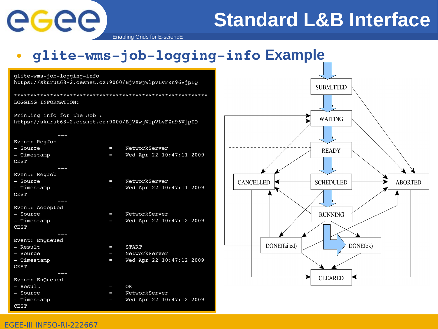

## **Standard L&B Interface**

**ABORTED** 

Enabling Grids for E-sciencE

#### • glite-wms-job-logging-info Example

| glite-wms-job-logging-info  |                |                                                          |                                      |
|-----------------------------|----------------|----------------------------------------------------------|--------------------------------------|
|                             |                | https://skurut68-2.cesnet.cz:9000/BjVXwjWlpVLvFZn96VjpIQ | <b>SUBMITTED</b>                     |
|                             |                |                                                          |                                      |
| LOGGING INFORMATION:        |                |                                                          |                                      |
| Printing info for the Job : |                |                                                          | <b>WAITING</b>                       |
|                             |                | https://skurut68-2.cesnet.cz:9000/BjVXwjWlpVLvFZn96VjpIQ |                                      |
|                             |                |                                                          |                                      |
| Event: RegJob               |                |                                                          |                                      |
| - Source                    | $\blacksquare$ | NetworkServer                                            | <b>READY</b>                         |
| - Timestamp                 | $\equiv$       | Wed Apr 22 10:47:11 2009                                 |                                      |
| <b>CEST</b>                 |                |                                                          |                                      |
|                             |                |                                                          |                                      |
| Event: RegJob               |                |                                                          |                                      |
| - Source                    | $\equiv$       | NetworkServer                                            | <b>CANCELLED</b><br><b>SCHEDULED</b> |
| - Timestamp<br><b>CEST</b>  | $\blacksquare$ | Wed Apr 22 10:47:11 2009                                 |                                      |
|                             |                |                                                          |                                      |
| Event: Accepted             |                |                                                          |                                      |
| - Source                    | $\equiv$       | NetworkServer                                            | <b>RUNNING</b>                       |
| - Timestamp                 | I              | Wed Apr 22 10:47:12 2009                                 |                                      |
| <b>CEST</b>                 |                |                                                          |                                      |
|                             |                |                                                          |                                      |
| Event: EnQueued             |                |                                                          |                                      |
| - Result                    | I              | START                                                    | DONE(ok)<br>DONE(failed)             |
| - Source                    | I              | NetworkServer                                            |                                      |
| - Timestamp                 | I              | Wed Apr 22 10:47:12 2009                                 |                                      |
| <b>CEST</b>                 |                |                                                          |                                      |
|                             |                |                                                          |                                      |
| Event: EnQueued             |                |                                                          | <b>CLEARED</b>                       |
| - Result                    | I              | OK                                                       |                                      |
| - Source                    | I              | NetworkServer                                            |                                      |
| - Timestamp                 | I              | Wed Apr 22 10:47:12 2009                                 |                                      |
| <b>CEST</b>                 |                |                                                          |                                      |
|                             |                |                                                          |                                      |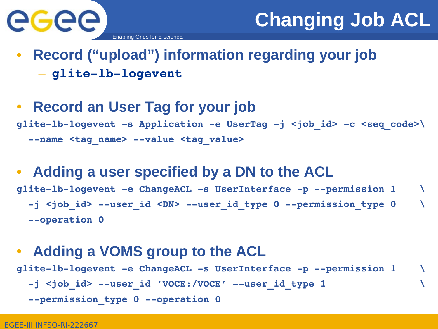

#### • **Record ("upload") information regarding your job**  $-$  glite-lb-logevent

#### • **Record an User Tag for your job** glite-lb-logevent -s Application -e UserTag -j <job\_id> -c <seq\_code>\ --name <tag name> --value <tag value>

#### • **Adding a user specified by a DN to the ACL** glite-lb-logevent -e ChangeACL -s UserInterface -p --permission 1 -j <job id> --user id <DN> --user id type 0 --permission type 0  $-$ -operation 0

#### • **Adding a VOMS group to the ACL** glite-lb-logevent -e ChangeACL -s UserInterface -p --permission 1 -j <job id> --user id 'VOCE:/VOCE' --user id type 1 **--permission\_type 0 --operation 0**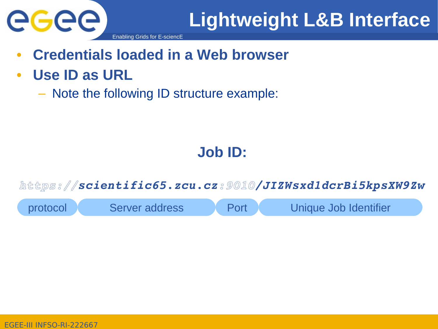

## **Lightweight L&B Interface**

- **Credentials loaded in a Web browser**
- **Use ID as URL**
	- Note the following ID structure example:

#### **Job ID:**

*https://scientific65.zcu.cz:9010/JIZWsxd1dcrBi5kpsXW9Zw*

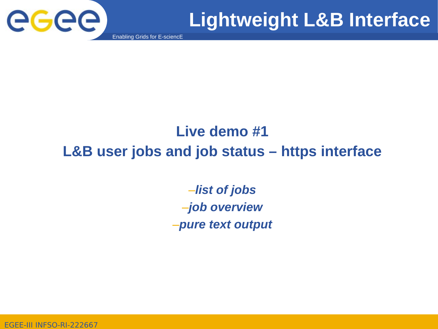

## **Lightweight L&B Interface**

Enabling Grids for E-sciencE

#### **Live demo #1 L&B user jobs and job status – https interface**

–*list of jobs* –*job overview* –*pure text output*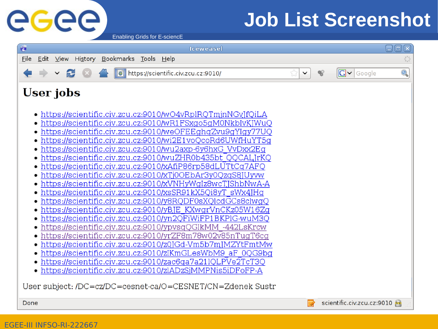## **Job List Screenshot**

Enabling Grids for E-sciencE



eeee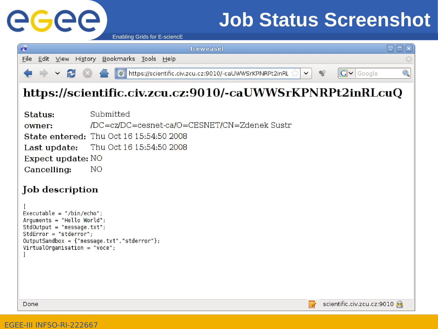

## **Job Status Screenshot**

Enabling Grids for E-sciencE

| $\overline{c}$                                                                                                                                                                                                                                     | <b>Iceweasel</b>                                                                                                                                                                                | 日回図                                  |
|----------------------------------------------------------------------------------------------------------------------------------------------------------------------------------------------------------------------------------------------------|-------------------------------------------------------------------------------------------------------------------------------------------------------------------------------------------------|--------------------------------------|
| <b>Eile</b>                                                                                                                                                                                                                                        | Edit View History Bookmarks Tools Help                                                                                                                                                          | $\frac{1}{2}\sum\limits_{j=1}^{n-1}$ |
| 2                                                                                                                                                                                                                                                  | $\boxed{\text{G}}$ $\blacktriangleright$ Google<br>o https://scientific.civ.zcu.cz:9010/-caUWWSrKPNRPt2inRL<br>$\checkmark$                                                                     | Q                                    |
|                                                                                                                                                                                                                                                    | https://scientific.civ.zcu.cz:9010/-caUWWSrKPNRPt2inRLcuQ                                                                                                                                       |                                      |
| Status:<br>owner:<br>Last update:<br>Expect update: NO<br>Cancelling:<br>Job description<br>Executable = "/bin/echo";<br>Arguments = "Hello World";<br>$StdOutput = "message.txt";$<br>$StdError = "stderror";$<br>$VirtualOrganisation = "voce";$ | Submitted<br>/DC=cz/DC=cesnet-ca/O=CESNET/CN=Zdenek Sustr<br><b>State entered: Thu Oct 16 15:54:50 2008</b><br>Thu Oct 16 15:54:50 2008<br>NO.<br>$OutputSandbox = {"message.txt", "stderror";$ |                                      |
| Done                                                                                                                                                                                                                                               | scientific.civ.zcu.cz.9010<br>R                                                                                                                                                                 |                                      |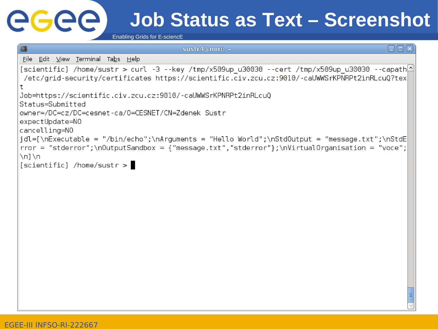# GGGG

## **Job Status as Text – Screenshot**

Enabling Grids for E-sciencE

```
sustr4@nori: ~
                                                                                              日间区
File Edit View Terminal Tabs Help
[scientific] /home/sustr > curl -3 --key /tmp/x509up u30030 --cert /tmp/x509up u30030 --capath\triangle/etc/grid-security/certificates https://scientific.civ.zcu.cz:9010/-caUWWSrKPNRPt2inRLcuQ?tex
\ddaggerJob=https://scientific.civ.zcu.cz:9010/-caUWWSrKPNRPt2inRLcuQ
Status=Submitted
owner=/DC=cz/DC=cesnet-ca/0=CESNET/CN=Zdenek Sustr
expectUpdate=NO
cancelling=NO
|idl=[\nExecutable = "/bin/echo";\nArquments = "Hello World";\nStdOutput = "message.txt";\nStdE
rror = "stderror";\nOutputSandbox = {"message.txt", "stderror";\nWith aOrganisation = "voce";\n1\n
\lceil scientific\rceil /home/sustr >
```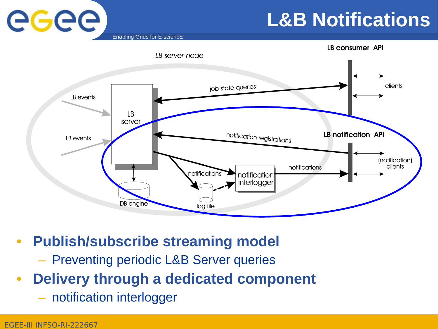## **L&B Notifications**

Enabling Grids for E-sciencE



#### • **Publish/subscribe streaming model**

- Preventing periodic L&B Server queries
- **Delivery through a dedicated component**
	- notification interlogger

eeee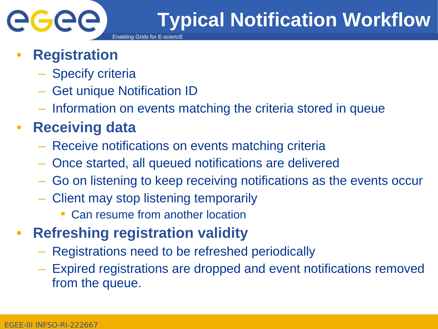

## • **Registration**

- Specify criteria
- Get unique Notification ID
- Information on events matching the criteria stored in queue

## • **Receiving data**

- Receive notifications on events matching criteria
- Once started, all queued notifications are delivered
- Go on listening to keep receiving notifications as the events occur
- Client may stop listening temporarily
	- Can resume from another location
- **Refreshing registration validity**
	- Registrations need to be refreshed periodically
	- Expired registrations are dropped and event notifications removed from the queue.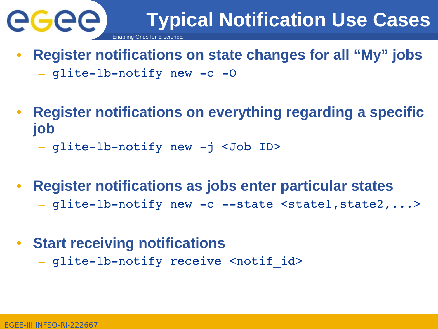

- **Register notifications on state changes for all "My" jobs**
	- $-$  glite-lb-notify new  $-c$  -O
- **Register notifications on everything regarding a specific job**
	- glite-lb-notify new -j <Job ID>
- **Register notifications as jobs enter particular states**
	- glite-lb-notify new -c --state <state1,state2,...>
- **Start receiving notifications**
	- glite-lb-notify receive <notif id>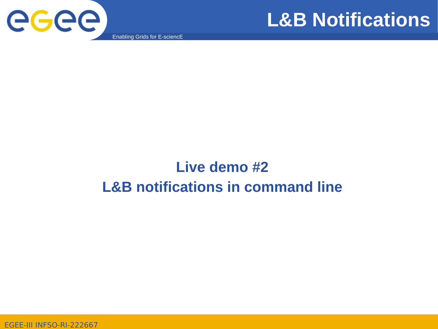



Enabling Grids for E-sciencE

#### **Live demo #2 L&B notifications in command line**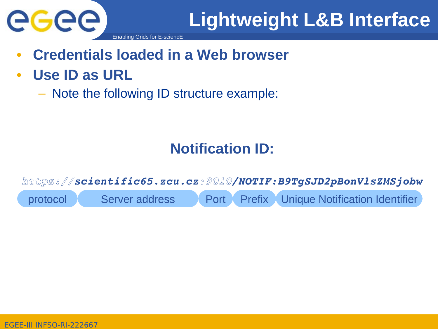

- **Credentials loaded in a Web browser**
- **Use ID as URL**
	- Note the following ID structure example:

#### **Notification ID:**

*https://scientific65.zcu.cz:9010/NOTIF:B9TgSJD2pBonVlsZMSjobw* protocol Server address Port Prefix Unique Notification Identifier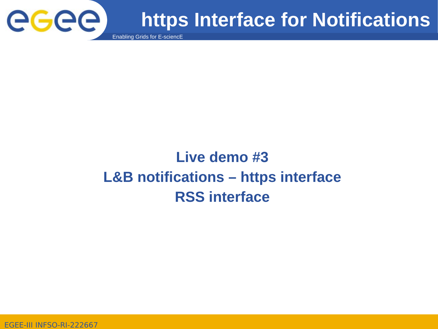

## **https Interface for Notifications**

Enabling Grids for E-sciencE

## **Live demo #3 L&B notifications – https interface RSS interface**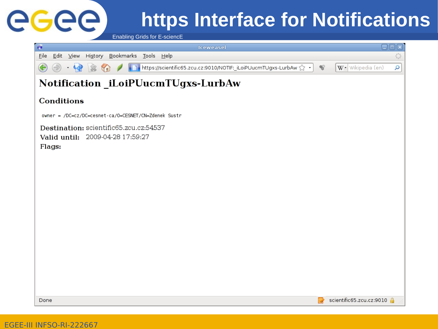

# **https Interface for Notifications**

Enabling Grids for E-sciencE

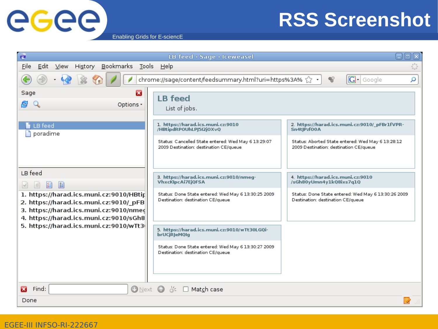

## **RSS Screenshot**

Enabling Grids for E-sciencE

| $\bullet$                                                                                                                                                                                                                                      | LB feed - Sage - Iceweasel                                                                                                                                                                                                                                                                                                  | ▣                                                                                                                                                           |  |  |  |
|------------------------------------------------------------------------------------------------------------------------------------------------------------------------------------------------------------------------------------------------|-----------------------------------------------------------------------------------------------------------------------------------------------------------------------------------------------------------------------------------------------------------------------------------------------------------------------------|-------------------------------------------------------------------------------------------------------------------------------------------------------------|--|--|--|
| Bookmarks<br>Eile<br>Edit<br>$View$<br>History<br>$\mathcal{L}_{\alpha}$                                                                                                                                                                       |                                                                                                                                                                                                                                                                                                                             |                                                                                                                                                             |  |  |  |
| $\boxed{\text{G}}$ - Google<br>chrome://sage/content/feedsummary.html?uri=https%3A% {<br>$\mathbf{Q}$<br>α                                                                                                                                     |                                                                                                                                                                                                                                                                                                                             |                                                                                                                                                             |  |  |  |
| z<br>Sage<br>Options -<br>LB feed<br>poradime                                                                                                                                                                                                  | <b>LB</b> feed<br>List of jobs.<br>1. https://harad.ics.muni.cz:9010<br>/HBtipdRPOUhLPJ5I2jOXvQ<br>Status: Cancelled State entered: Wed May 6 13:29:07<br>2009 Destination: destination CE/queue                                                                                                                            | 2. https://harad.ics.muni.cz:9010/_pFBr1fVPR-<br>Sn4tlPzf00A<br>Status: Aborted State entered: Wed May 6 13:28:12<br>2009 Destination: destination CE/queue |  |  |  |
| LB feed<br>图<br>目<br>$\Box$<br>1. https://harad.ics.muni.cz:9010/HBtip<br>2. https://harad.ics.muni.cz:9010/ pFB<br>3. https://harad.ics.muni.cz:9010/nmed<br>4. https://harad.ics.muni.cz:9010/sGh8<br>5. https://harad.ics.muni.cz:9010/wTt3 | 3. https://harad.ics.muni.cz:9010/nmeg-<br><b>VhxcKlpcAi7EjQFSA</b><br>Status: Done State entered: Wed May 6 13:30:25 2009<br>Destination: destination CE/queue<br>5. https://harad.ics.muni.cz:9010/wTt30LGQi-<br>brUCjRJeMQIg<br>Status: Done State entered: Wed May 6 13:30:27 2009<br>Destination: destination CE/queue | 4. https://harad.ics.muni.cz:9010<br>/sGh80yUmn4y1kQ8ixs7q1Q<br>Status: Done State entered: Wed May 6 13:30:26 2009<br>Destination: destination CE/queue    |  |  |  |
| $\bigcirc$ Next $\bigcirc$<br>്<br>$\Box$ Match case<br>Find:                                                                                                                                                                                  |                                                                                                                                                                                                                                                                                                                             |                                                                                                                                                             |  |  |  |
| Done                                                                                                                                                                                                                                           |                                                                                                                                                                                                                                                                                                                             |                                                                                                                                                             |  |  |  |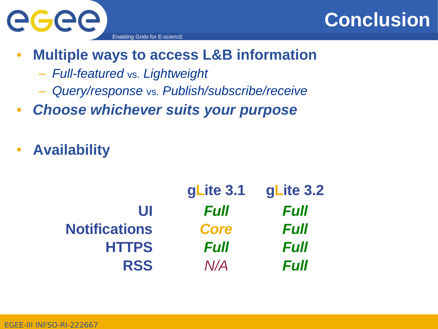

- **Multiple ways to access L&B information**
	- *Full-featured* vs. *Lightweight*
	- *Query/response* vs. *Publish/subscribe/receive*
- *Choose whichever suits your purpose*
- **Availability**

|                      | gLite 3.1   | gLite 3.2   |
|----------------------|-------------|-------------|
| UI                   | Full        | <b>Full</b> |
| <b>Notifications</b> | <b>Core</b> | <b>Full</b> |
| <b>HTTPS</b>         | Full        | <b>Full</b> |
| <b>RSS</b>           | N/A         | <b>Full</b> |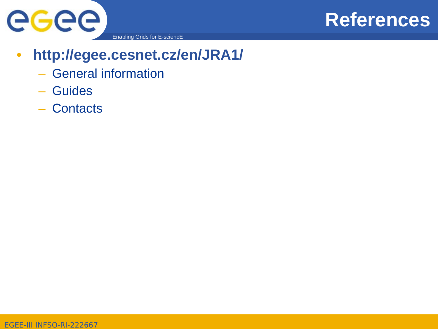



Enabling Grids for E-sciencE

#### • **http://egee.cesnet.cz/en/JRA1/**

- General information
- Guides
- Contacts